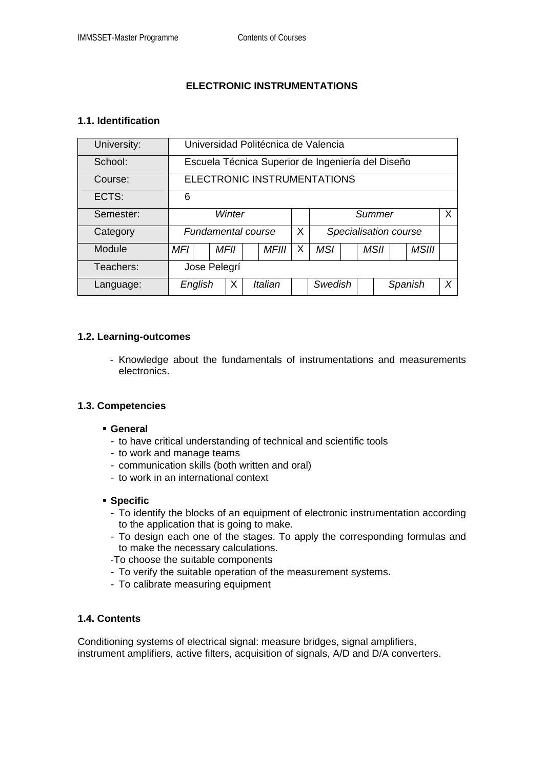# **ELECTRONIC INSTRUMENTATIONS**

#### **1.1. Identification**

| University: | Universidad Politécnica de Valencia               |  |      |  |              |   |                        |  |  |             |         |              |   |
|-------------|---------------------------------------------------|--|------|--|--------------|---|------------------------|--|--|-------------|---------|--------------|---|
| School:     | Escuela Técnica Superior de Ingeniería del Diseño |  |      |  |              |   |                        |  |  |             |         |              |   |
| Course:     | ELECTRONIC INSTRUMENTATIONS                       |  |      |  |              |   |                        |  |  |             |         |              |   |
| ECTS:       | 6                                                 |  |      |  |              |   |                        |  |  |             |         |              |   |
| Semester:   | Winter                                            |  |      |  |              |   | $\mathsf{X}$<br>Summer |  |  |             |         |              |   |
| Category    | <b>Fundamental course</b>                         |  |      |  |              | X | Specialisation course  |  |  |             |         |              |   |
| Module      | MFI                                               |  | MFII |  | <b>MFIII</b> | X | <b>MSI</b>             |  |  | <b>MSII</b> |         | <b>MSIII</b> |   |
| Teachers:   | Jose Pelegrí                                      |  |      |  |              |   |                        |  |  |             |         |              |   |
| Language:   | English                                           |  | X    |  | Italian      |   | Swedish                |  |  |             | Spanish |              | X |

#### **1.2. Learning-outcomes**

- Knowledge about the fundamentals of instrumentations and measurements electronics.

### **1.3. Competencies**

- **General** 
	- to have critical understanding of technical and scientific tools
	- to work and manage teams
	- communication skills (both written and oral)
	- to work in an international context

#### **Specific**

- To identify the blocks of an equipment of electronic instrumentation according to the application that is going to make.
- To design each one of the stages. To apply the corresponding formulas and to make the necessary calculations.
- -To choose the suitable components
- To verify the suitable operation of the measurement systems.
- To calibrate measuring equipment

### **1.4. Contents**

Conditioning systems of electrical signal: measure bridges, signal amplifiers, instrument amplifiers, active filters, acquisition of signals, A/D and D/A converters.